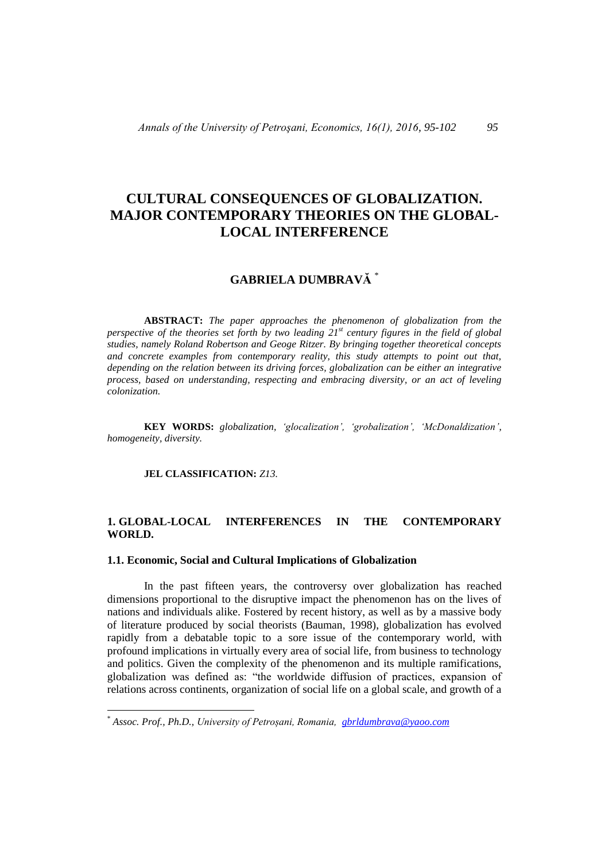# **CULTURAL CONSEQUENCES OF GLOBALIZATION. MAJOR CONTEMPORARY THEORIES ON THE GLOBAL-LOCAL INTERFERENCE**

## **GABRIELA DUMBRAVĂ** \*

 **ABSTRACT:** *The paper approaches the phenomenon of globalization from the perspective of the theories set forth by two leading 21st century figures in the field of global studies, namely Roland Robertson and Geoge Ritzer. By bringing together theoretical concepts and concrete examples from contemporary reality, this study attempts to point out that, depending on the relation between its driving forces, globalization can be either an integrative process, based on understanding, respecting and embracing diversity, or an act of leveling colonization.* 

**KEY WORDS:** *globalization, 'glocalization', 'grobalization', 'McDonaldization', homogeneity, diversity.*

**JEL CLASSIFICATION:** *Z13.*

 $\overline{a}$ 

### **1. GLOBAL-LOCAL INTERFERENCES IN THE CONTEMPORARY WORLD.**

#### **1.1. Economic, Social and Cultural Implications of Globalization**

In the past fifteen years, the controversy over globalization has reached dimensions proportional to the disruptive impact the phenomenon has on the lives of nations and individuals alike. Fostered by recent history, as well as by a massive body of literature produced by social theorists (Bauman, 1998), globalization has evolved rapidly from a debatable topic to a sore issue of the contemporary world, with profound implications in virtually every area of social life, from business to technology and politics. Given the complexity of the phenomenon and its multiple ramifications, globalization was defined as: "the worldwide diffusion of practices, expansion of relations across continents, organization of social life on a global scale, and growth of a

<sup>\*</sup> *Assoc. Prof., Ph.D., University of Petroșani, Romania, [gbrldumbrava@yaoo.com](mailto:gbrldumbraa@yaoo.com)*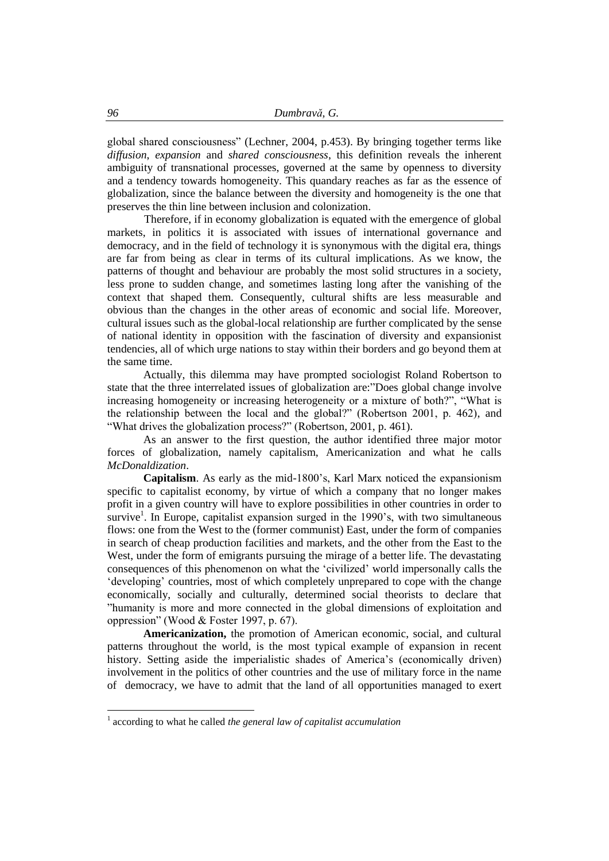global shared consciousness" (Lechner, 2004, p.453). By bringing together terms like *diffusion*, *expansion* and *shared consciousness*, this definition reveals the inherent ambiguity of transnational processes, governed at the same by openness to diversity and a tendency towards homogeneity. This quandary reaches as far as the essence of globalization, since the balance between the diversity and homogeneity is the one that preserves the thin line between inclusion and colonization.

Therefore, if in economy globalization is equated with the emergence of global markets, in politics it is associated with issues of international governance and democracy, and in the field of technology it is synonymous with the digital era, things are far from being as clear in terms of its cultural implications. As we know, the patterns of thought and behaviour are probably the most solid structures in a society, less prone to sudden change, and sometimes lasting long after the vanishing of the context that shaped them. Consequently, cultural shifts are less measurable and obvious than the changes in the other areas of economic and social life. Moreover, cultural issues such as the global-local relationship are further complicated by the sense of national identity in opposition with the fascination of diversity and expansionist tendencies, all of which urge nations to stay within their borders and go beyond them at the same time.

Actually, this dilemma may have prompted sociologist Roland Robertson to state that the three interrelated issues of globalization are:"Does global change involve increasing homogeneity or increasing heterogeneity or a mixture of both?", "What is the relationship between the local and the global?" (Robertson 2001, p. 462), and "What drives the globalization process?" (Robertson, 2001, p. 461).

As an answer to the first question, the author identified three major motor forces of globalization, namely capitalism, Americanization and what he calls *McDonaldization*.

**Capitalism**. As early as the mid-1800's, Karl Marx noticed the expansionism specific to capitalist economy, by virtue of which a company that no longer makes profit in a given country will have to explore possibilities in other countries in order to survive<sup>1</sup>. In Europe, capitalist expansion surged in the 1990's, with two simultaneous flows: one from the West to the (former communist) East, under the form of companies in search of cheap production facilities and markets, and the other from the East to the West, under the form of emigrants pursuing the mirage of a better life. The devastating consequences of this phenomenon on what the 'civilized' world impersonally calls the 'developing' countries, most of which completely unprepared to cope with the change economically, socially and culturally, determined social theorists to declare that "humanity is more and more connected in the global dimensions of exploitation and oppression" (Wood & Foster 1997, p. 67).

**Americanization,** the promotion of American economic, social, and cultural patterns throughout the world, is the most typical example of expansion in recent history. Setting aside the imperialistic shades of America's (economically driven) involvement in the politics of other countries and the use of military force in the name of democracy, we have to admit that the land of all opportunities managed to exert

 $\overline{a}$ 

<sup>1</sup> according to what he called *the general law of capitalist accumulation*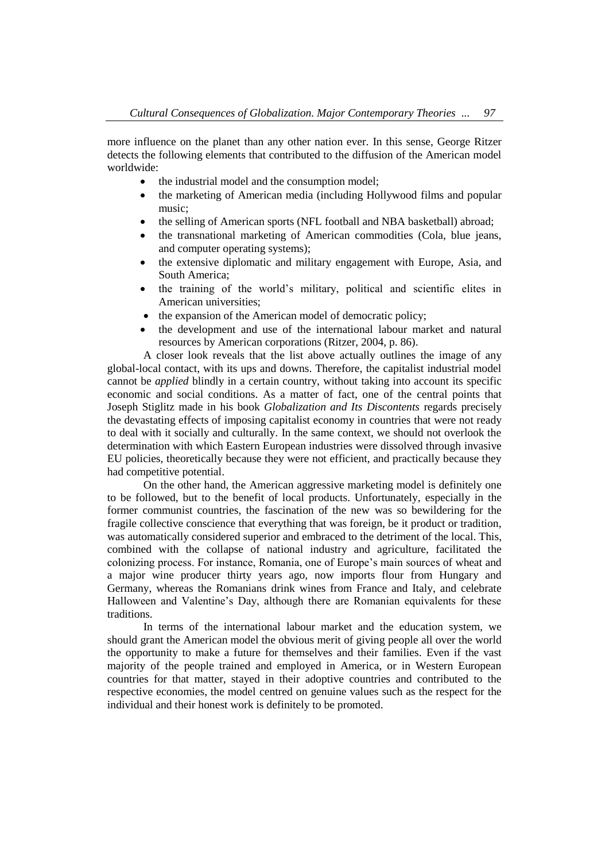more influence on the planet than any other nation ever. In this sense, George Ritzer detects the following elements that contributed to the diffusion of the American model worldwide:

- the industrial model and the consumption model:
- the marketing of American media (including Hollywood films and popular music;
- the selling of American sports (NFL football and NBA basketball) abroad;
- the transnational marketing of American commodities (Cola, blue jeans, and computer operating systems);
- the extensive diplomatic and military engagement with Europe, Asia, and South America;
- the training of the world's military, political and scientific elites in American universities;
- the expansion of the American model of democratic policy;
- the development and use of the international labour market and natural resources by American corporations (Ritzer, 2004, p. 86).

A closer look reveals that the list above actually outlines the image of any global-local contact, with its ups and downs. Therefore, the capitalist industrial model cannot be *applied* blindly in a certain country, without taking into account its specific economic and social conditions. As a matter of fact, one of the central points that Joseph Stiglitz made in his book *Globalization and Its Discontents* regards precisely the devastating effects of imposing capitalist economy in countries that were not ready to deal with it socially and culturally. In the same context, we should not overlook the determination with which Eastern European industries were dissolved through invasive EU policies, theoretically because they were not efficient, and practically because they had competitive potential.

On the other hand, the American aggressive marketing model is definitely one to be followed, but to the benefit of local products. Unfortunately, especially in the former communist countries, the fascination of the new was so bewildering for the fragile collective conscience that everything that was foreign, be it product or tradition, was automatically considered superior and embraced to the detriment of the local. This, combined with the collapse of national industry and agriculture, facilitated the colonizing process. For instance, Romania, one of Europe's main sources of wheat and a major wine producer thirty years ago, now imports flour from Hungary and Germany, whereas the Romanians drink wines from France and Italy, and celebrate Halloween and Valentine's Day, although there are Romanian equivalents for these traditions.

In terms of the international labour market and the education system, we should grant the American model the obvious merit of giving people all over the world the opportunity to make a future for themselves and their families. Even if the vast majority of the people trained and employed in America, or in Western European countries for that matter, stayed in their adoptive countries and contributed to the respective economies, the model centred on genuine values such as the respect for the individual and their honest work is definitely to be promoted.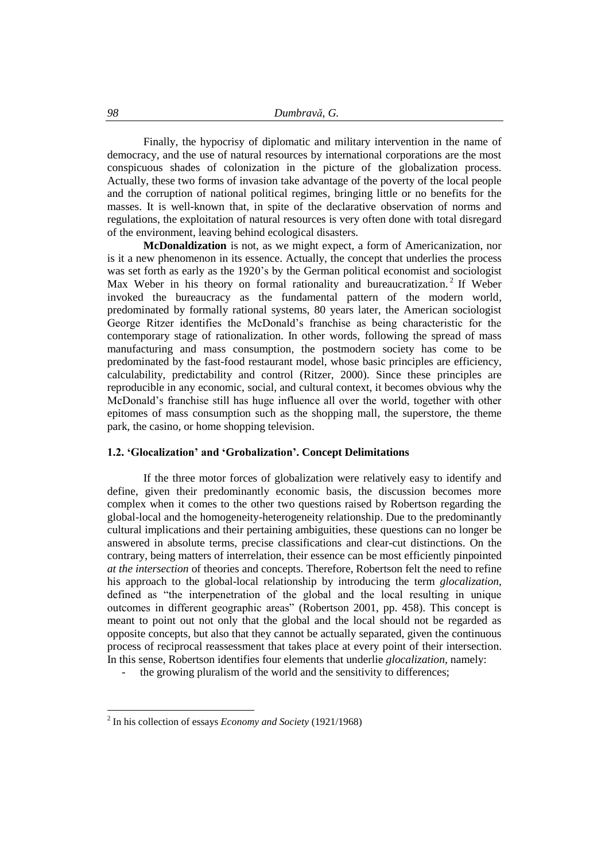Finally, the hypocrisy of diplomatic and military intervention in the name of democracy, and the use of natural resources by international corporations are the most conspicuous shades of colonization in the picture of the globalization process. Actually, these two forms of invasion take advantage of the poverty of the local people and the corruption of national political regimes, bringing little or no benefits for the masses. It is well-known that, in spite of the declarative observation of norms and regulations, the exploitation of natural resources is very often done with total disregard of the environment, leaving behind ecological disasters.

**McDonaldization** is not, as we might expect, a form of Americanization, nor is it a new phenomenon in its essence. Actually, the concept that underlies the process was set forth as early as the 1920's by the German political economist and sociologist Max Weber in his theory on formal rationality and bureaucratization.<sup>2</sup> If Weber invoked the bureaucracy as the fundamental pattern of the modern world, predominated by formally rational systems, 80 years later, the American sociologist George Ritzer identifies the McDonald's franchise as being characteristic for the contemporary stage of rationalization. In other words, following the spread of mass manufacturing and mass consumption, the postmodern society has come to be predominated by the fast-food restaurant model, whose basic principles are efficiency, calculability, predictability and control (Ritzer, 2000). Since these principles are reproducible in any economic, social, and cultural context, it becomes obvious why the McDonald's franchise still has huge influence all over the world, together with other epitomes of mass consumption such as the shopping mall, the superstore, the theme park, the casino, or home shopping television.

#### **1.2. 'Glocalization' and 'Grobalization'. Concept Delimitations**

If the three motor forces of globalization were relatively easy to identify and define, given their predominantly economic basis, the discussion becomes more complex when it comes to the other two questions raised by Robertson regarding the global-local and the homogeneity-heterogeneity relationship. Due to the predominantly cultural implications and their pertaining ambiguities, these questions can no longer be answered in absolute terms, precise classifications and clear-cut distinctions. On the contrary, being matters of interrelation, their essence can be most efficiently pinpointed *at the intersection* of theories and concepts. Therefore, Robertson felt the need to refine his approach to the global-local relationship by introducing the term *glocalization,*  defined as "the interpenetration of the global and the local resulting in unique outcomes in different geographic areas" (Robertson 2001, pp. 458). This concept is meant to point out not only that the global and the local should not be regarded as opposite concepts, but also that they cannot be actually separated, given the continuous process of reciprocal reassessment that takes place at every point of their intersection. In this sense, Robertson identifies four elements that underlie *glocalization,* namely:

the growing pluralism of the world and the sensitivity to differences;

 $\overline{a}$ 

<sup>2</sup> In his collection of essays *Economy and Society* (1921/1968)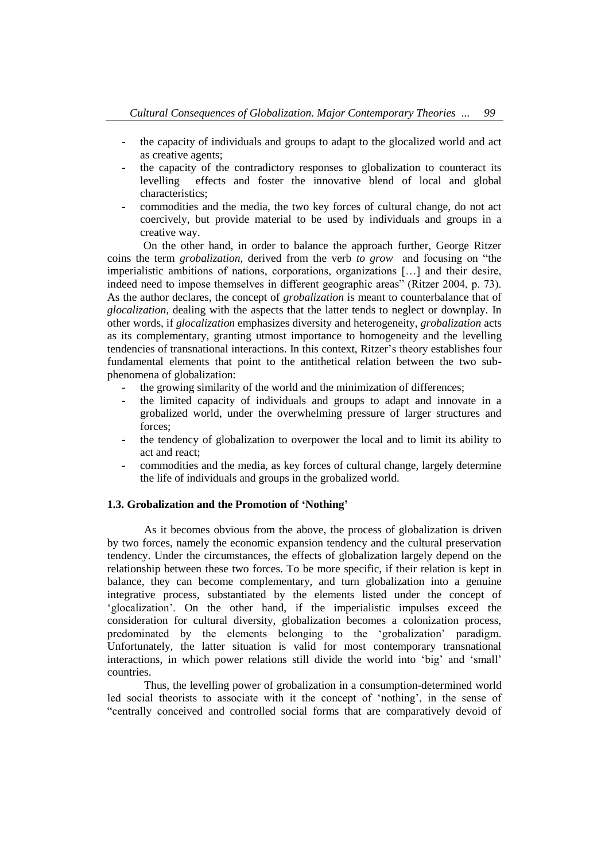- the capacity of individuals and groups to adapt to the glocalized world and act as creative agents;
- the capacity of the contradictory responses to globalization to counteract its levelling effects and foster the innovative blend of local and global characteristics;
- commodities and the media, the two key forces of cultural change, do not act coercively, but provide material to be used by individuals and groups in a creative way.

On the other hand, in order to balance the approach further, George Ritzer coins the term *grobalization*, derived from the verb *to grow* and focusing on "the imperialistic ambitions of nations, corporations, organizations […] and their desire, indeed need to impose themselves in different geographic areas" (Ritzer 2004, p. 73). As the author declares, the concept of *grobalization* is meant to counterbalance that of *glocalization*, dealing with the aspects that the latter tends to neglect or downplay. In other words, if *glocalization* emphasizes diversity and heterogeneity, *grobalization* acts as its complementary, granting utmost importance to homogeneity and the levelling tendencies of transnational interactions. In this context, Ritzer's theory establishes four fundamental elements that point to the antithetical relation between the two subphenomena of globalization:

- the growing similarity of the world and the minimization of differences;
- the limited capacity of individuals and groups to adapt and innovate in a grobalized world, under the overwhelming pressure of larger structures and forces;
- the tendency of globalization to overpower the local and to limit its ability to act and react;
- commodities and the media, as key forces of cultural change, largely determine the life of individuals and groups in the grobalized world.

#### **1.3. Grobalization and the Promotion of 'Nothing'**

As it becomes obvious from the above, the process of globalization is driven by two forces, namely the economic expansion tendency and the cultural preservation tendency. Under the circumstances, the effects of globalization largely depend on the relationship between these two forces. To be more specific, if their relation is kept in balance, they can become complementary, and turn globalization into a genuine integrative process, substantiated by the elements listed under the concept of 'glocalization'. On the other hand, if the imperialistic impulses exceed the consideration for cultural diversity, globalization becomes a colonization process, predominated by the elements belonging to the 'grobalization' paradigm. Unfortunately, the latter situation is valid for most contemporary transnational interactions, in which power relations still divide the world into 'big' and 'small' countries.

Thus, the levelling power of grobalization in a consumption-determined world led social theorists to associate with it the concept of 'nothing', in the sense of "centrally conceived and controlled social forms that are comparatively devoid of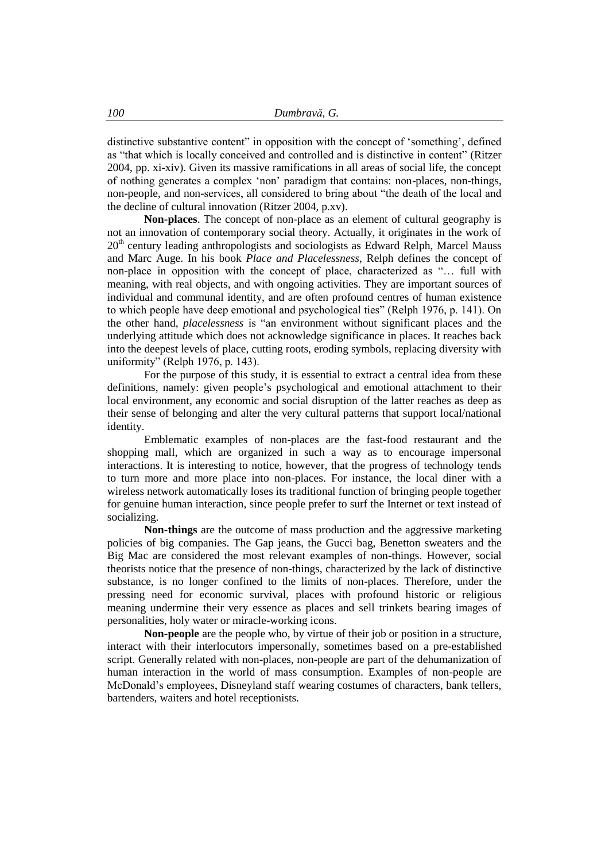distinctive substantive content" in opposition with the concept of 'something', defined as "that which is locally conceived and controlled and is distinctive in content" (Ritzer 2004, pp. xi-xiv). Given its massive ramifications in all areas of social life, the concept of nothing generates a complex 'non' paradigm that contains: non-places, non-things, non-people, and non-services, all considered to bring about "the death of the local and the decline of cultural innovation (Ritzer 2004, p.xv).

**Non-places**. The concept of non-place as an element of cultural geography is not an innovation of contemporary social theory. Actually, it originates in the work of  $20<sup>th</sup>$  century leading anthropologists and sociologists as Edward Relph, Marcel Mauss and Marc Auge. In his book *Place and Placelessness*, Relph defines the concept of non-place in opposition with the concept of place, characterized as "… full with meaning, with real objects, and with ongoing activities. They are important sources of individual and communal identity, and are often profound centres of human existence to which people have deep emotional and psychological ties" (Relph 1976, p. 141). On the other hand, *placelessness* is "an environment without significant places and the underlying attitude which does not acknowledge significance in places. It reaches back into the deepest levels of place, cutting roots, eroding symbols, replacing diversity with uniformity" (Relph 1976, p. 143).

For the purpose of this study, it is essential to extract a central idea from these definitions, namely: given people's psychological and emotional attachment to their local environment, any economic and social disruption of the latter reaches as deep as their sense of belonging and alter the very cultural patterns that support local/national identity.

Emblematic examples of non-places are the fast-food restaurant and the shopping mall, which are organized in such a way as to encourage impersonal interactions. It is interesting to notice, however, that the progress of technology tends to turn more and more place into non-places. For instance, the local diner with a wireless network automatically loses its traditional function of bringing people together for genuine human interaction, since people prefer to surf the Internet or text instead of socializing.

**Non-things** are the outcome of mass production and the aggressive marketing policies of big companies. The Gap jeans, the Gucci bag, Benetton sweaters and the Big Mac are considered the most relevant examples of non-things. However, social theorists notice that the presence of non-things, characterized by the lack of distinctive substance, is no longer confined to the limits of non-places. Therefore, under the pressing need for economic survival, places with profound historic or religious meaning undermine their very essence as places and sell trinkets bearing images of personalities, holy water or miracle-working icons.

**Non-people** are the people who, by virtue of their job or position in a structure, interact with their interlocutors impersonally, sometimes based on a pre-established script. Generally related with non-places, non-people are part of the dehumanization of human interaction in the world of mass consumption. Examples of non-people are McDonald's employees, Disneyland staff wearing costumes of characters, bank tellers, bartenders, waiters and hotel receptionists.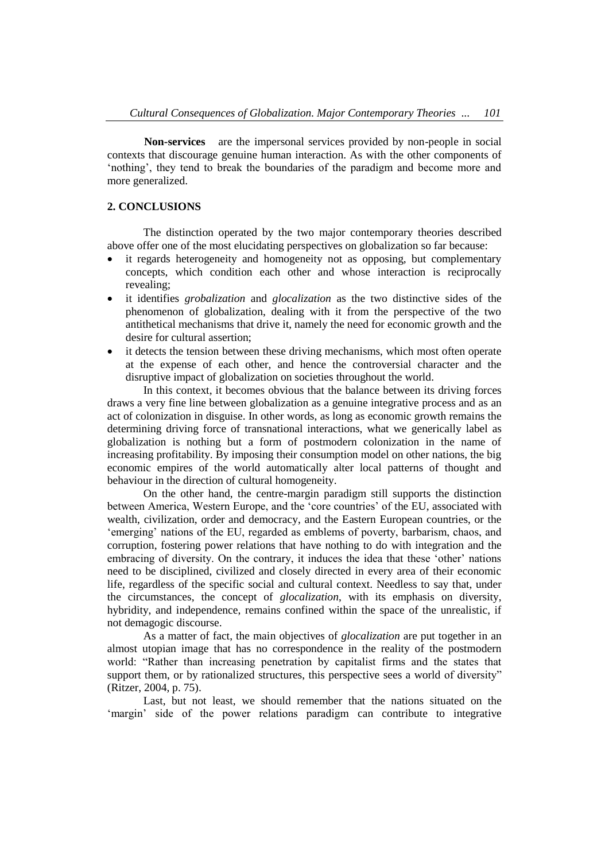**Non-services** are the impersonal services provided by non-people in social contexts that discourage genuine human interaction. As with the other components of 'nothing', they tend to break the boundaries of the paradigm and become more and more generalized.

#### **2. CONCLUSIONS**

The distinction operated by the two major contemporary theories described above offer one of the most elucidating perspectives on globalization so far because:

- it regards heterogeneity and homogeneity not as opposing, but complementary concepts, which condition each other and whose interaction is reciprocally revealing;
- it identifies *grobalization* and *glocalization* as the two distinctive sides of the phenomenon of globalization, dealing with it from the perspective of the two antithetical mechanisms that drive it, namely the need for economic growth and the desire for cultural assertion;
- it detects the tension between these driving mechanisms, which most often operate at the expense of each other, and hence the controversial character and the disruptive impact of globalization on societies throughout the world.

In this context, it becomes obvious that the balance between its driving forces draws a very fine line between globalization as a genuine integrative process and as an act of colonization in disguise. In other words, as long as economic growth remains the determining driving force of transnational interactions, what we generically label as globalization is nothing but a form of postmodern colonization in the name of increasing profitability. By imposing their consumption model on other nations, the big economic empires of the world automatically alter local patterns of thought and behaviour in the direction of cultural homogeneity.

On the other hand, the centre-margin paradigm still supports the distinction between America, Western Europe, and the 'core countries' of the EU, associated with wealth, civilization, order and democracy, and the Eastern European countries, or the 'emerging' nations of the EU, regarded as emblems of poverty, barbarism, chaos, and corruption, fostering power relations that have nothing to do with integration and the embracing of diversity. On the contrary, it induces the idea that these 'other' nations need to be disciplined, civilized and closely directed in every area of their economic life, regardless of the specific social and cultural context. Needless to say that, under the circumstances, the concept of *glocalization*, with its emphasis on diversity, hybridity, and independence, remains confined within the space of the unrealistic, if not demagogic discourse.

As a matter of fact, the main objectives of *glocalization* are put together in an almost utopian image that has no correspondence in the reality of the postmodern world: "Rather than increasing penetration by capitalist firms and the states that support them, or by rationalized structures, this perspective sees a world of diversity" (Ritzer, 2004, p. 75).

Last, but not least, we should remember that the nations situated on the 'margin' side of the power relations paradigm can contribute to integrative